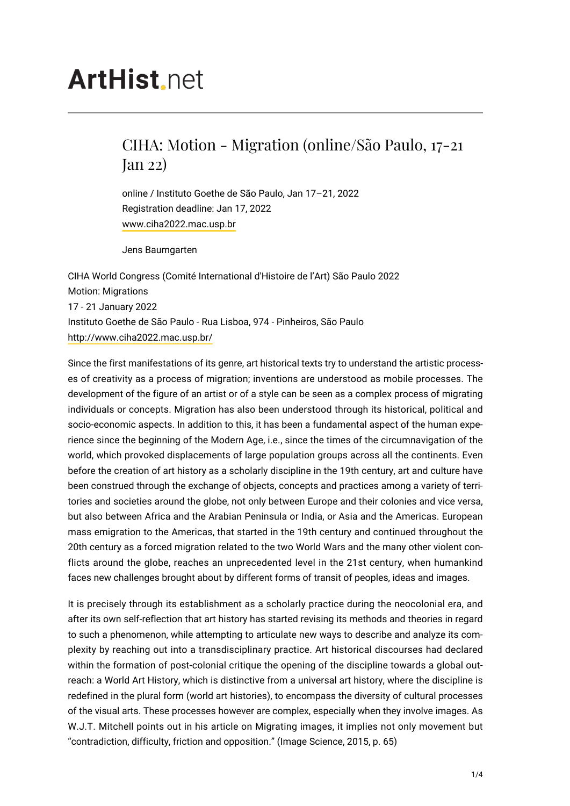## **ArtHist**, net

## CIHA: Motion - Migration (online/São Paulo, 17-21 Jan 22)

online / Instituto Goethe de São Paulo, Jan 17–21, 2022 Registration deadline: Jan 17, 2022 [www.ciha2022.mac.usp.br](http://www.ciha2022.mac.usp.br/)

Jens Baumgarten

CIHA World Congress (Comité International d'Histoire de l'Art) São Paulo 2022 Motion: Migrations 17 - 21 January 2022 Instituto Goethe de São Paulo - Rua Lisboa, 974 - Pinheiros, São Paulo <http://www.ciha2022.mac.usp.br/>

Since the first manifestations of its genre, art historical texts try to understand the artistic processes of creativity as a process of migration; inventions are understood as mobile processes. The development of the figure of an artist or of a style can be seen as a complex process of migrating individuals or concepts. Migration has also been understood through its historical, political and socio-economic aspects. In addition to this, it has been a fundamental aspect of the human experience since the beginning of the Modern Age, i.e., since the times of the circumnavigation of the world, which provoked displacements of large population groups across all the continents. Even before the creation of art history as a scholarly discipline in the 19th century, art and culture have been construed through the exchange of objects, concepts and practices among a variety of territories and societies around the globe, not only between Europe and their colonies and vice versa, but also between Africa and the Arabian Peninsula or India, or Asia and the Americas. European mass emigration to the Americas, that started in the 19th century and continued throughout the 20th century as a forced migration related to the two World Wars and the many other violent conflicts around the globe, reaches an unprecedented level in the 21st century, when humankind faces new challenges brought about by different forms of transit of peoples, ideas and images.

It is precisely through its establishment as a scholarly practice during the neocolonial era, and after its own self-reflection that art history has started revising its methods and theories in regard to such a phenomenon, while attempting to articulate new ways to describe and analyze its complexity by reaching out into a transdisciplinary practice. Art historical discourses had declared within the formation of post-colonial critique the opening of the discipline towards a global outreach: a World Art History, which is distinctive from a universal art history, where the discipline is redefined in the plural form (world art histories), to encompass the diversity of cultural processes of the visual arts. These processes however are complex, especially when they involve images. As W.J.T. Mitchell points out in his article on Migrating images, it implies not only movement but "contradiction, difficulty, friction and opposition." (Image Science, 2015, p. 65)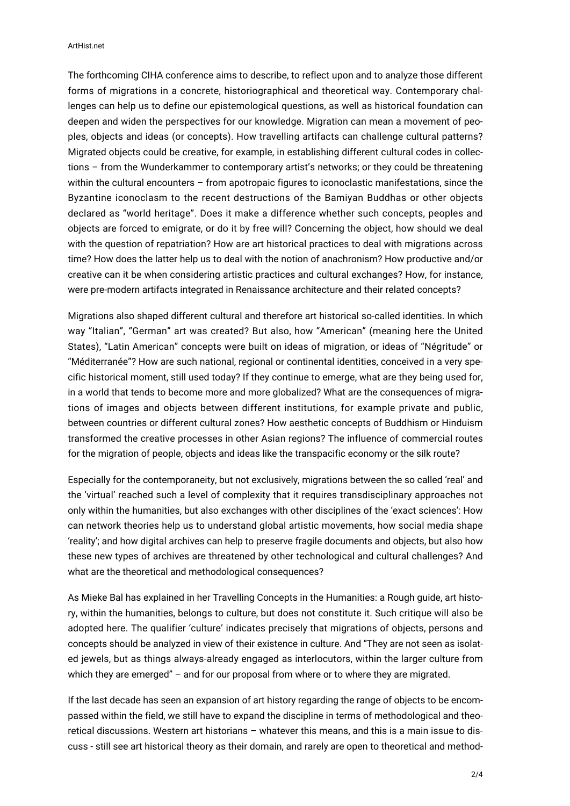ArtHist.net

The forthcoming CIHA conference aims to describe, to reflect upon and to analyze those different forms of migrations in a concrete, historiographical and theoretical way. Contemporary challenges can help us to define our epistemological questions, as well as historical foundation can deepen and widen the perspectives for our knowledge. Migration can mean a movement of peoples, objects and ideas (or concepts). How travelling artifacts can challenge cultural patterns? Migrated objects could be creative, for example, in establishing different cultural codes in collections – from the Wunderkammer to contemporary artist's networks; or they could be threatening within the cultural encounters – from apotropaic figures to iconoclastic manifestations, since the Byzantine iconoclasm to the recent destructions of the Bamiyan Buddhas or other objects declared as "world heritage". Does it make a difference whether such concepts, peoples and objects are forced to emigrate, or do it by free will? Concerning the object, how should we deal with the question of repatriation? How are art historical practices to deal with migrations across time? How does the latter help us to deal with the notion of anachronism? How productive and/or creative can it be when considering artistic practices and cultural exchanges? How, for instance, were pre-modern artifacts integrated in Renaissance architecture and their related concepts?

Migrations also shaped different cultural and therefore art historical so-called identities. In which way "Italian", "German" art was created? But also, how "American" (meaning here the United States), "Latin American" concepts were built on ideas of migration, or ideas of "Négritude" or "Méditerranée"? How are such national, regional or continental identities, conceived in a very specific historical moment, still used today? If they continue to emerge, what are they being used for, in a world that tends to become more and more globalized? What are the consequences of migrations of images and objects between different institutions, for example private and public, between countries or different cultural zones? How aesthetic concepts of Buddhism or Hinduism transformed the creative processes in other Asian regions? The influence of commercial routes for the migration of people, objects and ideas like the transpacific economy or the silk route?

Especially for the contemporaneity, but not exclusively, migrations between the so called 'real' and the 'virtual' reached such a level of complexity that it requires transdisciplinary approaches not only within the humanities, but also exchanges with other disciplines of the 'exact sciences': How can network theories help us to understand global artistic movements, how social media shape 'reality'; and how digital archives can help to preserve fragile documents and objects, but also how these new types of archives are threatened by other technological and cultural challenges? And what are the theoretical and methodological consequences?

As Mieke Bal has explained in her Travelling Concepts in the Humanities: a Rough guide, art history, within the humanities, belongs to culture, but does not constitute it. Such critique will also be adopted here. The qualifier 'culture' indicates precisely that migrations of objects, persons and concepts should be analyzed in view of their existence in culture. And "They are not seen as isolated jewels, but as things always-already engaged as interlocutors, within the larger culture from which they are emerged" – and for our proposal from where or to where they are migrated.

If the last decade has seen an expansion of art history regarding the range of objects to be encompassed within the field, we still have to expand the discipline in terms of methodological and theoretical discussions. Western art historians – whatever this means, and this is a main issue to discuss - still see art historical theory as their domain, and rarely are open to theoretical and method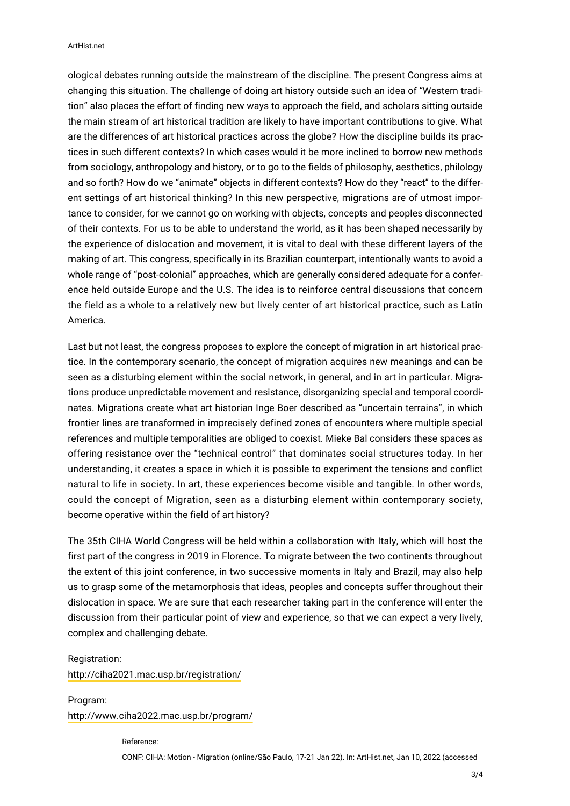ArtHist.net

ological debates running outside the mainstream of the discipline. The present Congress aims at changing this situation. The challenge of doing art history outside such an idea of "Western tradition" also places the effort of finding new ways to approach the field, and scholars sitting outside the main stream of art historical tradition are likely to have important contributions to give. What are the differences of art historical practices across the globe? How the discipline builds its practices in such different contexts? In which cases would it be more inclined to borrow new methods from sociology, anthropology and history, or to go to the fields of philosophy, aesthetics, philology and so forth? How do we "animate" objects in different contexts? How do they "react" to the different settings of art historical thinking? In this new perspective, migrations are of utmost importance to consider, for we cannot go on working with objects, concepts and peoples disconnected of their contexts. For us to be able to understand the world, as it has been shaped necessarily by the experience of dislocation and movement, it is vital to deal with these different layers of the making of art. This congress, specifically in its Brazilian counterpart, intentionally wants to avoid a whole range of "post-colonial" approaches, which are generally considered adequate for a conference held outside Europe and the U.S. The idea is to reinforce central discussions that concern the field as a whole to a relatively new but lively center of art historical practice, such as Latin America.

Last but not least, the congress proposes to explore the concept of migration in art historical practice. In the contemporary scenario, the concept of migration acquires new meanings and can be seen as a disturbing element within the social network, in general, and in art in particular. Migrations produce unpredictable movement and resistance, disorganizing special and temporal coordinates. Migrations create what art historian Inge Boer described as "uncertain terrains", in which frontier lines are transformed in imprecisely defined zones of encounters where multiple special references and multiple temporalities are obliged to coexist. Mieke Bal considers these spaces as offering resistance over the "technical control" that dominates social structures today. In her understanding, it creates a space in which it is possible to experiment the tensions and conflict natural to life in society. In art, these experiences become visible and tangible. In other words, could the concept of Migration, seen as a disturbing element within contemporary society, become operative within the field of art history?

The 35th CIHA World Congress will be held within a collaboration with Italy, which will host the first part of the congress in 2019 in Florence. To migrate between the two continents throughout the extent of this joint conference, in two successive moments in Italy and Brazil, may also help us to grasp some of the metamorphosis that ideas, peoples and concepts suffer throughout their dislocation in space. We are sure that each researcher taking part in the conference will enter the discussion from their particular point of view and experience, so that we can expect a very lively, complex and challenging debate.

## Registration:

<http://ciha2021.mac.usp.br/registration/>

Program: <http://www.ciha2022.mac.usp.br/program/>

Reference:

CONF: CIHA: Motion - Migration (online/São Paulo, 17-21 Jan 22). In: ArtHist.net, Jan 10, 2022 (accessed